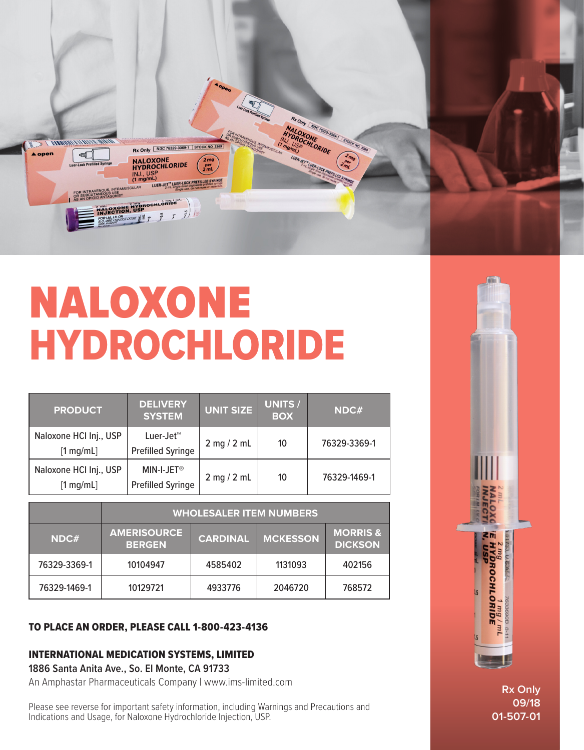

# NALOXONE HYDROCHLORIDE

| <b>PRODUCT</b>                                | <b>DELIVERY</b><br><b>SYSTEM</b>                   | <b>UNIT SIZE</b> | <b>UNITS /</b><br><b>BOX</b> | NDC#         |
|-----------------------------------------------|----------------------------------------------------|------------------|------------------------------|--------------|
| Naloxone HCI Inj., USP<br>$[1 \text{ mg/mL}]$ | Luer-Jet <sup>™</sup><br><b>Prefilled Syringe</b>  | $2$ mg $/ 2$ mL  | 10                           | 76329-3369-1 |
| Naloxone HCI Inj., USP<br>$[1 \text{ mg/mL}]$ | MIN-I-JET <sup>®</sup><br><b>Prefilled Syringe</b> | $2$ mg $/ 2$ mL  | 10                           | 76329-1469-1 |

|              | <b>WHOLESALER ITEM NUMBERS</b>      |                 |                 |                                       |  |  |
|--------------|-------------------------------------|-----------------|-----------------|---------------------------------------|--|--|
| NDC#         | <b>AMERISOURCE</b><br><b>BERGEN</b> | <b>CARDINAL</b> | <b>MCKESSON</b> | <b>MORRIS &amp;</b><br><b>DICKSON</b> |  |  |
| 76329-3369-1 | 10104947                            | 4585402         | 1131093         | 402156                                |  |  |
| 76329-1469-1 | 10129721                            | 4933776         | 2046720         | 768572                                |  |  |

# TO PLACE AN ORDER, PLEASE CALL 1-800-423-4136

# INTERNATIONAL MEDICATION SYSTEMS, LIMITED

**1886 Santa Anita Ave., So. El Monte, CA 91733**

An Amphastar Pharmaceuticals Company | www.ims-limited.com

Please see reverse for important safety information, including Warnings and Precautions and Indications and Usage, for Naloxone Hydrochloride Injection, USP.



**Rx Only 09/18 01-507-01**